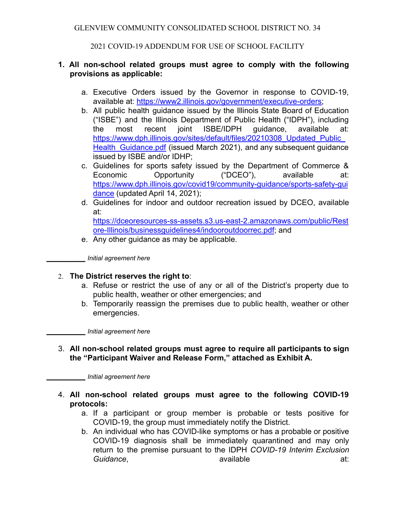GLENVIEW COMMUNITY CONSOLIDATED SCHOOL DISTRICT NO. 34

2021 COVID-19 ADDENDUM FOR USE OF SCHOOL FACILITY

## **1. All non-school related groups must agree to comply with the following provisions as applicable:**

- a. Executive Orders issued by the Governor in response to COVID-19, available at: [https://www2.illinois.gov/government/executive-orders;](https://www2.illinois.gov/government/executive-orders)
- b. All public health guidance issued by the Illinois State Board of Education ("ISBE") and the Illinois Department of Public Health ("IDPH"), including the most recent joint ISBE/IDPH guidance, available at: [https://www.dph.illinois.gov/sites/default/files/20210308\\_Updated\\_Public\\_](https://www.dph.illinois.gov/sites/default/files/20210308_Updated_Public_Health_Guidance.pdf) Health Guidance.pdf (issued March 2021), and any subsequent quidance issued by ISBE and/or IDHP;
- c. Guidelines for sports safety issued by the Department of Commerce & Economic Opportunity ("DCEO"), available at: [https://www.dph.illinois.gov/covid19/community-guidance/sports-safety-gui](https://www.dph.illinois.gov/covid19/community-guidance/sports-safety-guidance) [dance](https://www.dph.illinois.gov/covid19/community-guidance/sports-safety-guidance) (updated April 14, 2021);
- d. Guidelines for indoor and outdoor recreation issued by DCEO, available at:

[https://dceoresources-ss-assets.s3.us-east-2.amazonaws.com/public/Rest](https://dceoresources-ss-assets.s3.us-east-2.amazonaws.com/public/Restore-Illinois/businessguidelines4/indooroutdoorrec.pdf) [ore-Illinois/businessguidelines4/indooroutdoorrec.pdf](https://dceoresources-ss-assets.s3.us-east-2.amazonaws.com/public/Restore-Illinois/businessguidelines4/indooroutdoorrec.pdf); and

e. Any other guidance as may be applicable.

**\_\_\_\_\_\_\_\_\_** *Initial agreement here*

# 2. **The District reserves the right to**:

- a. Refuse or restrict the use of any or all of the District's property due to public health, weather or other emergencies; and
- b. Temporarily reassign the premises due to public health, weather or other emergencies.

**\_\_\_\_\_\_\_\_\_** *Initial agreement here*

3. **All non-school related groups must agree to require all participants to sign the "Participant Waiver and Release Form," attached as Exhibit A.**

**\_\_\_\_\_\_\_\_\_** *Initial agreement here*

- 4. **All non-school related groups must agree to the following COVID-19 protocols:**
	- a. If a participant or group member is probable or tests positive for COVID-19, the group must immediately notify the District.
	- b. An individual who has COVID-like symptoms or has a probable or positive COVID-19 diagnosis shall be immediately quarantined and may only return to the premise pursuant to the IDPH *COVID-19 Interim Exclusion Guidance*, available at: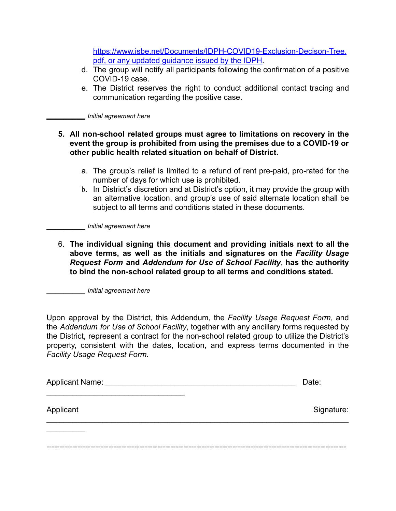[https://www.isbe.net/Documents/IDPH-COVID19-Exclusion-Decison-Tree.](https://www.isbe.net/Documents/IDPH-COVID19-Exclusion-Decison-Tree.pdf) [pdf,](https://www.isbe.net/Documents/IDPH-COVID19-Exclusion-Decison-Tree.pdf) or any updated guidance issued by the IDPH.

- d. The group will notify all participants following the confirmation of a positive COVID-19 case.
- e. The District reserves the right to conduct additional contact tracing and communication regarding the positive case.

**\_\_\_\_\_\_\_\_\_** *Initial agreement here*

### **5. All non-school related groups must agree to limitations on recovery in the event the group is prohibited from using the premises due to a COVID-19 or other public health related situation on behalf of District.**

- a. The group's relief is limited to a refund of rent pre-paid, pro-rated for the number of days for which use is prohibited.
- b. In District's discretion and at District's option, it may provide the group with an alternative location, and group's use of said alternate location shall be subject to all terms and conditions stated in these documents.

**\_\_\_\_\_\_\_\_\_** *Initial agreement here*

6. **The individual signing this document and providing initials next to all the above terms, as well as the initials and signatures on the** *Facility Usage Request Form* **and** *Addendum for Use of School Facility*, **has the authority to bind the non-school related group to all terms and conditions stated.**

**\_\_\_\_\_\_\_\_\_** *Initial agreement here*

Upon approval by the District, this Addendum, the *Facility Usage Request Form*, and the *Addendum for Use of School Facility*, together with any ancillary forms requested by the District, represent a contract for the non-school related group to utilize the District's property, consistent with the dates, location, and express terms documented in the *Facility Usage Request Form.*

| Applicant Name: | Date:      |
|-----------------|------------|
| Applicant       | Signature: |
|                 |            |
|                 |            |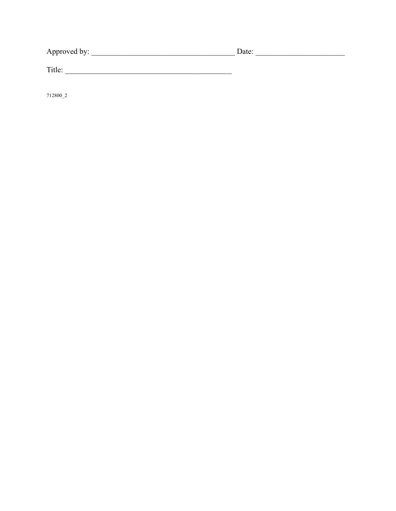Title:

712800\_2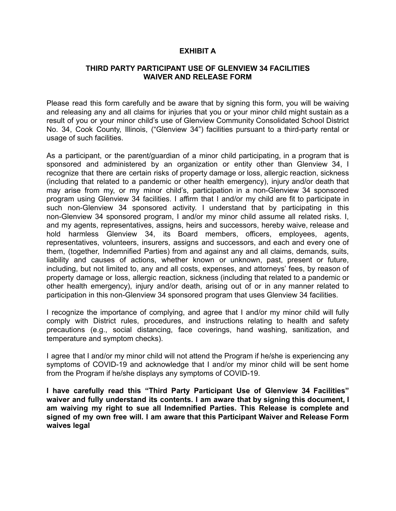### **EXHIBIT A**

### **THIRD PARTY PARTICIPANT USE OF GLENVIEW 34 FACILITIES WAIVER AND RELEASE FORM**

Please read this form carefully and be aware that by signing this form, you will be waiving and releasing any and all claims for injuries that you or your minor child might sustain as a result of you or your minor child's use of Glenview Community Consolidated School District No. 34, Cook County, Illinois, ("Glenview 34") facilities pursuant to a third-party rental or usage of such facilities.

As a participant, or the parent/guardian of a minor child participating, in a program that is sponsored and administered by an organization or entity other than Glenview 34, I recognize that there are certain risks of property damage or loss, allergic reaction, sickness (including that related to a pandemic or other health emergency), injury and/or death that may arise from my, or my minor child's, participation in a non-Glenview 34 sponsored program using Glenview 34 facilities. I affirm that I and/or my child are fit to participate in such non-Glenview 34 sponsored activity. I understand that by participating in this non-Glenview 34 sponsored program, I and/or my minor child assume all related risks. I, and my agents, representatives, assigns, heirs and successors, hereby waive, release and hold harmless Glenview 34, its Board members, officers, employees, agents, representatives, volunteers, insurers, assigns and successors, and each and every one of them, (together, Indemnified Parties) from and against any and all claims, demands, suits, liability and causes of actions, whether known or unknown, past, present or future, including, but not limited to, any and all costs, expenses, and attorneys' fees, by reason of property damage or loss, allergic reaction, sickness (including that related to a pandemic or other health emergency), injury and/or death, arising out of or in any manner related to participation in this non-Glenview 34 sponsored program that uses Glenview 34 facilities.

I recognize the importance of complying, and agree that I and/or my minor child will fully comply with District rules, procedures, and instructions relating to health and safety precautions (e.g., social distancing, face coverings, hand washing, sanitization, and temperature and symptom checks).

I agree that I and/or my minor child will not attend the Program if he/she is experiencing any symptoms of COVID-19 and acknowledge that I and/or my minor child will be sent home from the Program if he/she displays any symptoms of COVID-19.

**I have carefully read this "Third Party Participant Use of Glenview 34 Facilities" waiver and fully understand its contents. I am aware that by signing this document, I am waiving my right to sue all Indemnified Parties. This Release is complete and signed of my own free will. I am aware that this Participant Waiver and Release Form waives legal**